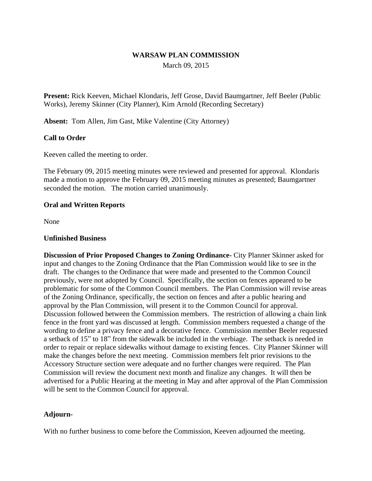### **WARSAW PLAN COMMISSION**

March 09, 2015

**Present:** Rick Keeven, Michael Klondaris, Jeff Grose, David Baumgartner, Jeff Beeler (Public Works), Jeremy Skinner (City Planner), Kim Arnold (Recording Secretary)

**Absent:** Tom Allen, Jim Gast, Mike Valentine (City Attorney)

# **Call to Order**

Keeven called the meeting to order.

The February 09, 2015 meeting minutes were reviewed and presented for approval. Klondaris made a motion to approve the February 09, 2015 meeting minutes as presented; Baumgartner seconded the motion. The motion carried unanimously.

#### **Oral and Written Reports**

None

### **Unfinished Business**

**Discussion of Prior Proposed Changes to Zoning Ordinance-** City Planner Skinner asked for input and changes to the Zoning Ordinance that the Plan Commission would like to see in the draft. The changes to the Ordinance that were made and presented to the Common Council previously, were not adopted by Council. Specifically, the section on fences appeared to be problematic for some of the Common Council members. The Plan Commission will revise areas of the Zoning Ordinance, specifically, the section on fences and after a public hearing and approval by the Plan Commission, will present it to the Common Council for approval. Discussion followed between the Commission members. The restriction of allowing a chain link fence in the front yard was discussed at length. Commission members requested a change of the wording to define a privacy fence and a decorative fence. Commission member Beeler requested a setback of 15" to 18" from the sidewalk be included in the verbiage. The setback is needed in order to repair or replace sidewalks without damage to existing fences. City Planner Skinner will make the changes before the next meeting. Commission members felt prior revisions to the Accessory Structure section were adequate and no further changes were required. The Plan Commission will review the document next month and finalize any changes. It will then be advertised for a Public Hearing at the meeting in May and after approval of the Plan Commission will be sent to the Common Council for approval.

# **Adjourn-**

With no further business to come before the Commission, Keeven adjourned the meeting.